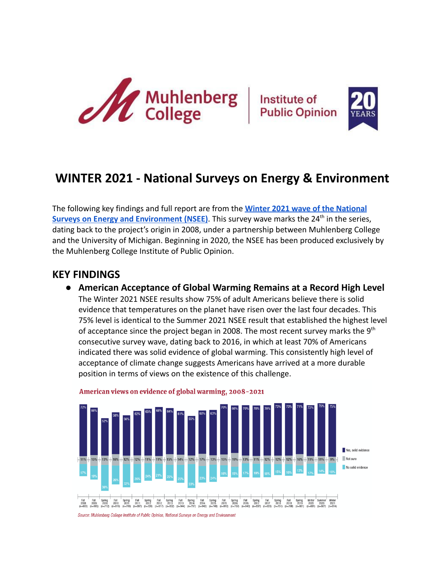





# **WINTER 2021 - National Surveys on Energy & Environment**

The following key findings and full report are from the **[Winter 2021 wave of the National](https://www.muhlenberg.edu/aboutus/polling/surveys/national/winter2021-energyenvironmentsurvey/)** [Surveys on Energy and Environment \(NSEE\)](https://www.muhlenberg.edu/aboutus/polling/surveys/national/winter2021-energyenvironmentsurvey/). This survey wave marks the 24<sup>th</sup> in the series, dating back to the project's origin in 2008, under a partnership between Muhlenberg College and the University of Michigan. Beginning in 2020, the NSEE has been produced exclusively by the Muhlenberg College Institute of Public Opinion.

## **KEY FINDINGS**

**● American Acceptance of Global Warming Remains at a Record High Level** The Winter 2021 NSEE results show 75% of adult Americans believe there is solid evidence that temperatures on the planet have risen over the last four decades. This 75% level is identical to the Summer 2021 NSEE result that established the highest level of acceptance since the project began in 2008. The most recent survey marks the  $9<sup>th</sup>$ consecutive survey wave, dating back to 2016, in which at least 70% of Americans indicated there was solid evidence of global warming. This consistently high level of acceptance of climate change suggests Americans have arrived at a more durable position in terms of views on the existence of this challenge.



American views on evidence of global warming, 2008-2021

Source: Muhlenberg College Institute of Public Opinion, National Surveys on Energy and Environment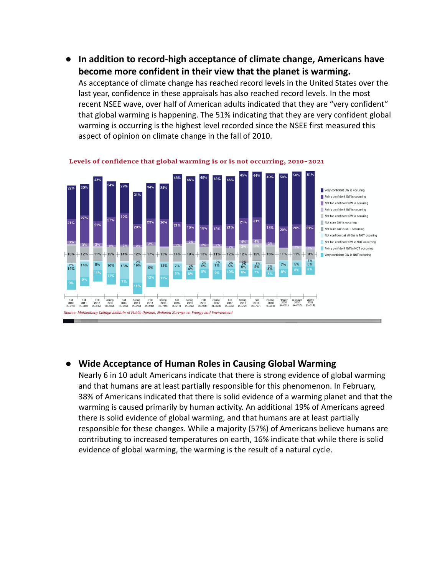**● In addition to record-high acceptance of climate change, Americans have become more confident in their view that the planet is warming.**

As acceptance of climate change has reached record levels in the United States over the last year, confidence in these appraisals has also reached record levels. In the most recent NSEE wave, over half of American adults indicated that they are "very confident" that global warming is happening. The 51% indicating that they are very confident global warming is occurring is the highest level recorded since the NSEE first measured this aspect of opinion on climate change in the fall of 2010.



Levels of confidence that global warming is or is not occurring, 2010-2021

## **● Wide Acceptance of Human Roles in Causing Global Warming**

Nearly 6 in 10 adult Americans indicate that there is strong evidence of global warming and that humans are at least partially responsible for this phenomenon. In February, 38% of Americans indicated that there is solid evidence of a warming planet and that the warming is caused primarily by human activity. An additional 19% of Americans agreed there is solid evidence of global warming, and that humans are at least partially responsible for these changes. While a majority (57%) of Americans believe humans are contributing to increased temperatures on earth, 16% indicate that while there is solid evidence of global warming, the warming is the result of a natural cycle.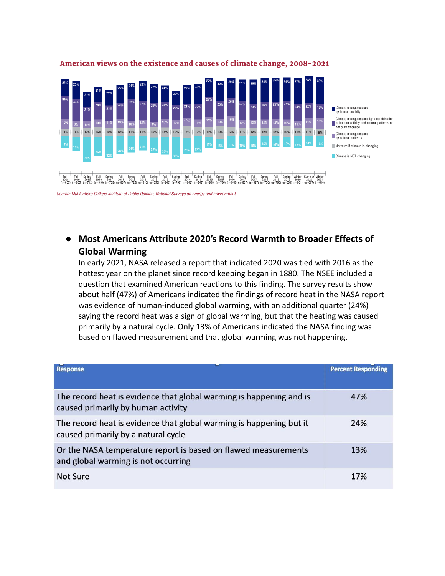

#### American views on the existence and causes of climate change, 2008-2021

# **● Most Americans Attribute 2020's Record Warmth to Broader Effects of Global Warming**

In early 2021, NASA released a report that indicated 2020 was tied with 2016 as the hottest year on the planet since record keeping began in 1880. The NSEE included a question that examined American reactions to this finding. The survey results show about half (47%) of Americans indicated the findings of record heat in the NASA report was evidence of human-induced global warming, with an additional quarter (24%) saying the record heat was a sign of global warming, but that the heating was caused primarily by a natural cycle. Only 13% of Americans indicated the NASA finding was based on flawed measurement and that global warming was not happening.

| <b>Response</b>                                                                                            | <b>Percent Responding</b> |
|------------------------------------------------------------------------------------------------------------|---------------------------|
| The record heat is evidence that global warming is happening and is<br>caused primarily by human activity  | 47%                       |
| The record heat is evidence that global warming is happening but it<br>caused primarily by a natural cycle | 24%                       |
| Or the NASA temperature report is based on flawed measurements<br>and global warming is not occurring      | 13%                       |
| <b>Not Sure</b>                                                                                            | 17%                       |

Source: Muhlenberg College Institute of Public Opinion, National Surveys on Energy and Environment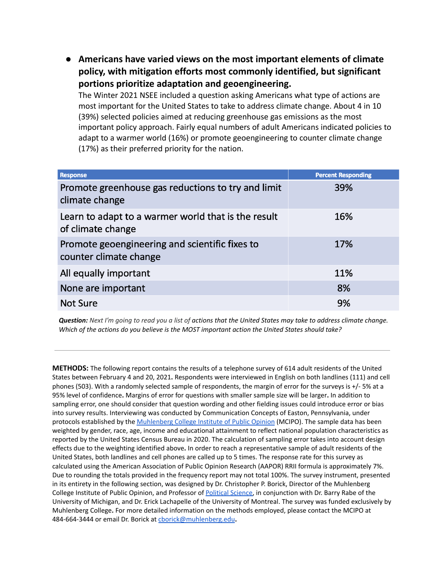**● Americans have varied views on the most important elements of climate policy, with mitigation efforts most commonly identified, but significant portions prioritize adaptation and geoengineering.**

The Winter 2021 NSEE included a question asking Americans what type of actions are most important for the United States to take to address climate change. About 4 in 10 (39%) selected policies aimed at reducing greenhouse gas emissions as the most important policy approach. Fairly equal numbers of adult Americans indicated policies to adapt to a warmer world (16%) or promote geoengineering to counter climate change (17%) as their preferred priority for the nation.

| <b>Response</b>                                                          | <b>Percent Responding</b> |
|--------------------------------------------------------------------------|---------------------------|
| Promote greenhouse gas reductions to try and limit<br>climate change     | 39%                       |
| Learn to adapt to a warmer world that is the result<br>of climate change | 16%                       |
| Promote geoengineering and scientific fixes to<br>counter climate change | 17%                       |
| All equally important                                                    | 11%                       |
| None are important                                                       | 8%                        |
| <b>Not Sure</b>                                                          | 9%                        |

Question: Next I'm going to read you a list of actions that the United States may take to address climate change. *Which of the actions do you believe is the MOST important action the United States should take?*

**METHODS:** The following report contains the results of a telephone survey of 614 adult residents of the United States between February 4 and 20, 2021**.** Respondents were interviewed in English on both landlines (111) and cell phones (503). With a randomly selected sample of respondents, the margin of error for the surveys is +/- 5% at a 95% level of confidence**.** Margins of error for questions with smaller sample size will be larger**.** In addition to sampling error, one should consider that question wording and other fielding issues could introduce error or bias into survey results. Interviewing was conducted by Communication Concepts of Easton, Pennsylvania, under protocols established by the [Muhlenberg](https://www.muhlenberg.edu/aboutus/polling/) College Institute of Public Opinion (MCIPO). The sample data has been weighted by gender, race, age, income and educational attainment to reflect national population characteristics as reported by the United States Census Bureau in 2020. The calculation of sampling error takes into account design effects due to the weighting identified above**.** In order to reach a representative sample of adult residents of the United States, both landlines and cell phones are called up to 5 times. The response rate for this survey as calculated using the American Association of Public Opinion Research (AAPOR) RRII formula is approximately 7%. Due to rounding the totals provided in the frequency report may not total 100%. The survey instrument, presented in its entirety in the following section, was designed by Dr. Christopher P. Borick, Director of the Muhlenberg College Institute of Public Opinion, and Professor of [Political](https://www.muhlenberg.edu/academics/polisci/) Science, in conjunction with Dr. Barry Rabe of the University of Michigan, and Dr. Erick Lachapelle of the University of Montreal. The survey was funded exclusively by Muhlenberg College**.** For more detailed information on the methods employed, please contact the MCIPO at 484-664-3444 or email Dr. Borick at [cborick@muhlenberg.edu](mailto:cborick@muhlenberg.edu)**.**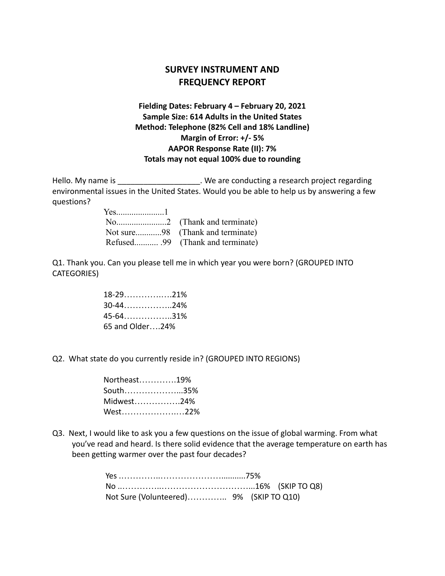## **SURVEY INSTRUMENT AND FREQUENCY REPORT**

## **Fielding Dates: February 4 – February 20, 2021 Sample Size: 614 Adults in the United States Method: Telephone (82% Cell and 18% Landline) Margin of Error: +/- 5% AAPOR Response Rate (II): 7% Totals may not equal 100% due to rounding**

Hello. My name is **Example 20** are conducting a research project regarding environmental issues in the United States. Would you be able to help us by answering a few questions?

Q1. Thank you. Can you please tell me in which year you were born? (GROUPED INTO CATEGORIES)

| $18-29$ 21%     |  |
|-----------------|--|
| $30-44$ 24%     |  |
| $45-64$ 31%     |  |
| 65 and Older24% |  |

Q2. What state do you currently reside in? (GROUPED INTO REGIONS)

| Northeast19% |  |
|--------------|--|
| South35%     |  |
| Midwest24%   |  |
| West22%      |  |

Q3. Next, I would like to ask you a few questions on the issue of global warming. From what you've read and heard. Is there solid evidence that the average temperature on earth has been getting warmer over the past four decades?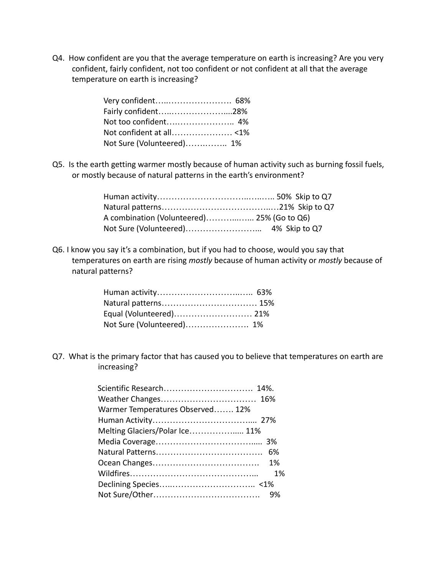Q4. How confident are you that the average temperature on earth is increasing? Are you very confident, fairly confident, not too confident or not confident at all that the average temperature on earth is increasing?

| Fairly confident28%       |  |
|---------------------------|--|
|                           |  |
|                           |  |
| Not Sure (Volunteered) 1% |  |

Q5. Is the earth getting warmer mostly because of human activity such as burning fossil fuels, or mostly because of natural patterns in the earth's environment?

| A combination (Volunteered) 25% (Go to Q6) |  |
|--------------------------------------------|--|
|                                            |  |

Q6. I know you say it's a combination, but if you had to choose, would you say that temperatures on earth are rising *mostly* because of human activity or *mostly* because of natural patterns?

| Equal (Volunteered) 21%   |  |
|---------------------------|--|
| Not Sure (Volunteered) 1% |  |

Q7. What is the primary factor that has caused you to believe that temperatures on earth are increasing?

| Scientific Research 14%.         |    |
|----------------------------------|----|
| Weather Changes 16%              |    |
| Warmer Temperatures Observed 12% |    |
|                                  |    |
| Melting Glaciers/Polar Ice 11%   |    |
|                                  |    |
|                                  |    |
|                                  |    |
|                                  | 1% |
|                                  |    |
|                                  |    |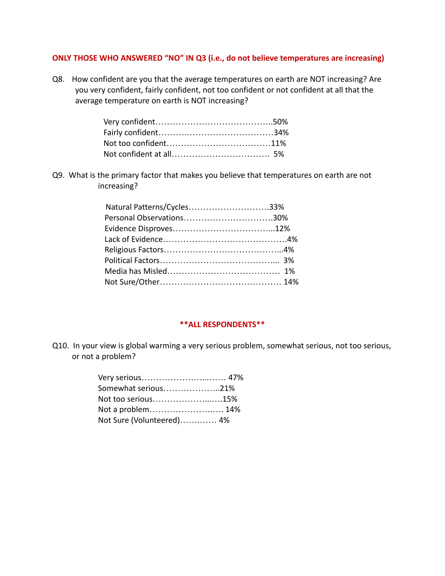#### **ONLY THOSE WHO ANSWERED "NO" IN Q3 (i.e., do not believe temperatures are increasing)**

Q8. How confident are you that the average temperatures on earth are NOT increasing? Are you very confident, fairly confident, not too confident or not confident at all that the average temperature on earth is NOT increasing?

Q9. What is the primary factor that makes you believe that temperatures on earth are not increasing?

| Natural Patterns/Cycles33% |  |
|----------------------------|--|
| Personal Observations30%   |  |
|                            |  |
|                            |  |
|                            |  |
|                            |  |
|                            |  |
|                            |  |

#### **\*\*ALL RESPONDENTS\*\***

Q10. In your view is global warming a very serious problem, somewhat serious, not too serious, or not a problem?

| Very serious 47%          |  |
|---------------------------|--|
| Somewhat serious21%       |  |
| Not too serious15%        |  |
| Not a problem 14%         |  |
| Not Sure (Volunteered) 4% |  |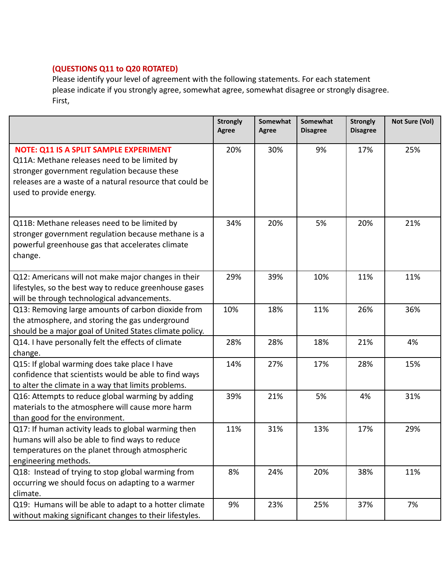## **(QUESTIONS Q11 to Q20 ROTATED)**

Please identify your level of agreement with the following statements. For each statement please indicate if you strongly agree, somewhat agree, somewhat disagree or strongly disagree. First,

|                                                                                                                                                                                                                               | <b>Strongly</b><br><b>Agree</b> | Somewhat<br><b>Agree</b> | Somewhat<br><b>Disagree</b> | <b>Strongly</b><br><b>Disagree</b> | Not Sure (Vol) |
|-------------------------------------------------------------------------------------------------------------------------------------------------------------------------------------------------------------------------------|---------------------------------|--------------------------|-----------------------------|------------------------------------|----------------|
| NOTE: Q11 IS A SPLIT SAMPLE EXPERIMENT<br>Q11A: Methane releases need to be limited by<br>stronger government regulation because these<br>releases are a waste of a natural resource that could be<br>used to provide energy. | 20%                             | 30%                      | 9%                          | 17%                                | 25%            |
| Q11B: Methane releases need to be limited by<br>stronger government regulation because methane is a<br>powerful greenhouse gas that accelerates climate<br>change.                                                            | 34%                             | 20%                      | 5%                          | 20%                                | 21%            |
| Q12: Americans will not make major changes in their<br>lifestyles, so the best way to reduce greenhouse gases<br>will be through technological advancements.                                                                  | 29%                             | 39%                      | 10%                         | 11%                                | 11%            |
| Q13: Removing large amounts of carbon dioxide from<br>the atmosphere, and storing the gas underground<br>should be a major goal of United States climate policy.                                                              | 10%                             | 18%                      | 11%                         | 26%                                | 36%            |
| Q14. I have personally felt the effects of climate<br>change.                                                                                                                                                                 | 28%                             | 28%                      | 18%                         | 21%                                | 4%             |
| Q15: If global warming does take place I have<br>confidence that scientists would be able to find ways<br>to alter the climate in a way that limits problems.                                                                 | 14%                             | 27%                      | 17%                         | 28%                                | 15%            |
| Q16: Attempts to reduce global warming by adding<br>materials to the atmosphere will cause more harm<br>than good for the environment.                                                                                        | 39%                             | 21%                      | 5%                          | 4%                                 | 31%            |
| Q17: If human activity leads to global warming then<br>humans will also be able to find ways to reduce<br>temperatures on the planet through atmospheric<br>engineering methods.                                              | 11%                             | 31%                      | 13%                         | 17%                                | 29%            |
| Q18: Instead of trying to stop global warming from<br>occurring we should focus on adapting to a warmer<br>climate.                                                                                                           | 8%                              | 24%                      | 20%                         | 38%                                | 11%            |
| Q19: Humans will be able to adapt to a hotter climate<br>without making significant changes to their lifestyles.                                                                                                              | 9%                              | 23%                      | 25%                         | 37%                                | 7%             |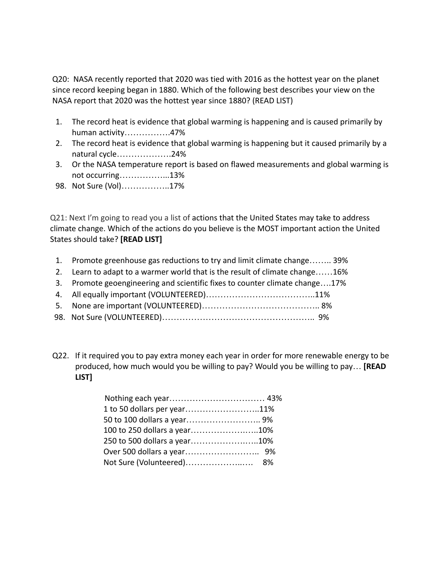Q20: NASA recently reported that 2020 was tied with 2016 as the hottest year on the planet since record keeping began in 1880. Which of the following best describes your view on the NASA report that 2020 was the hottest year since 1880? (READ LIST)

- 1. The record heat is evidence that global warming is happening and is caused primarily by human activity…………….47%
- 2. The record heat is evidence that global warming is happening but it caused primarily by a natural cycle……………….24%
- 3. Or the NASA temperature report is based on flawed measurements and global warming is not occurring……………...13%
- 98. Not Sure (Vol)……………..17%

Q21: Next I'm going to read you a list of actions that the United States may take to address climate change. Which of the actions do you believe is the MOST important action the United States should take? **[READ LIST]**

- 1. Promote greenhouse gas reductions to try and limit climate change…….. 39%
- 2. Learn to adapt to a warmer world that is the result of climate change……16%
- 3. Promote geoengineering and scientific fixes to counter climate change….17%
- 4. All equally important (VOLUNTEERED)………………………………..11%
- 5. None are important (VOLUNTEERED)………………………………….. 8%
- 98. Not Sure (VOLUNTEERED)…………………………………………….. 9%
- Q22. If it required you to pay extra money each year in order for more renewable energy to be produced, how much would you be willing to pay? Would you be willing to pay… **[READ LIST]**

| 1 to 50 dollars per year11%  |  |
|------------------------------|--|
| 50 to 100 dollars a year 9%  |  |
| 100 to 250 dollars a year10% |  |
| 250 to 500 dollars a year10% |  |
|                              |  |
|                              |  |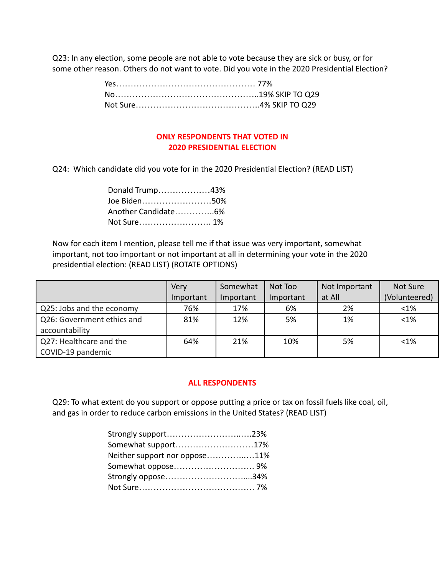Q23: In any election, some people are not able to vote because they are sick or busy, or for some other reason. Others do not want to vote. Did you vote in the 2020 Presidential Election?

### **ONLY RESPONDENTS THAT VOTED IN 2020 PRESIDENTIAL ELECTION**

Q24: Which candidate did you vote for in the 2020 Presidential Election? (READ LIST)

| Donald Trump43% |  |
|-----------------|--|
| Joe Biden50%    |  |
|                 |  |
|                 |  |

Now for each item I mention, please tell me if that issue was very important, somewhat important, not too important or not important at all in determining your vote in the 2020 presidential election: (READ LIST) (ROTATE OPTIONS)

|                            | Very      | Somewhat  | Not Too   | Not Important | Not Sure      |
|----------------------------|-----------|-----------|-----------|---------------|---------------|
|                            | Important | Important | Important | at All        | (Volunteered) |
| Q25: Jobs and the economy  | 76%       | 17%       | 6%        | 2%            | $< 1\%$       |
| Q26: Government ethics and | 81%       | 12%       | 5%        | 1%            | $<1\%$        |
| accountability             |           |           |           |               |               |
| Q27: Healthcare and the    | 64%       | 21%       | 10%       | 5%            | $< 1\%$       |
| COVID-19 pandemic          |           |           |           |               |               |

#### **ALL RESPONDENTS**

Q29: To what extent do you support or oppose putting a price or tax on fossil fuels like coal, oil, and gas in order to reduce carbon emissions in the United States? (READ LIST)

| Strongly support23%           |  |
|-------------------------------|--|
| Somewhat support17%           |  |
| Neither support nor oppose11% |  |
| Somewhat oppose 9%            |  |
| Strongly oppose34%            |  |
|                               |  |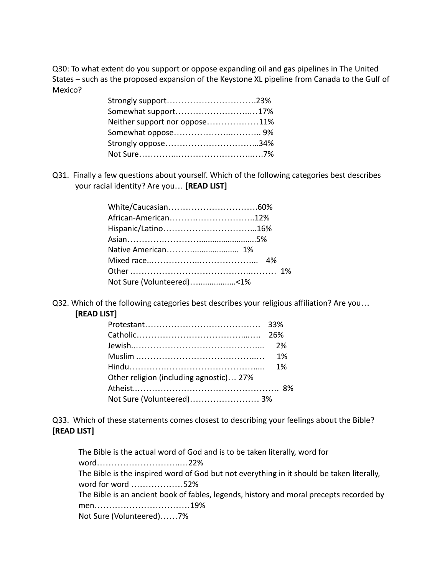Q30: To what extent do you support or oppose expanding oil and gas pipelines in The United States – such as the proposed expansion of the Keystone XL pipeline from Canada to the Gulf of Mexico?

| Strongly support23%           |  |
|-------------------------------|--|
| Somewhat support17%           |  |
| Neither support nor oppose11% |  |
|                               |  |
|                               |  |
|                               |  |

Q31. Finally a few questions about yourself. Which of the following categories best describes your racial identity? Are you… **[READ LIST]**

| African-American12%       |  |  |
|---------------------------|--|--|
|                           |  |  |
|                           |  |  |
|                           |  |  |
|                           |  |  |
|                           |  |  |
| Not Sure (Volunteered)<1% |  |  |

Q32. Which of the following categories best describes your religious affiliation? Are you… **[READ LIST]**

| Other religion (including agnostic) 27% |  |
|-----------------------------------------|--|
|                                         |  |
| Not Sure (Volunteered) 3%               |  |

Q33. Which of these statements comes closest to describing your feelings about the Bible? **[READ LIST]**

The Bible is the actual word of God and is to be taken literally, word for word………………………..…22% The Bible is the inspired word of God but not everything in it should be taken literally, word for word ………………52% The Bible is an ancient book of fables, legends, history and moral precepts recorded by men……………………………19% Not Sure (Volunteered)……7%